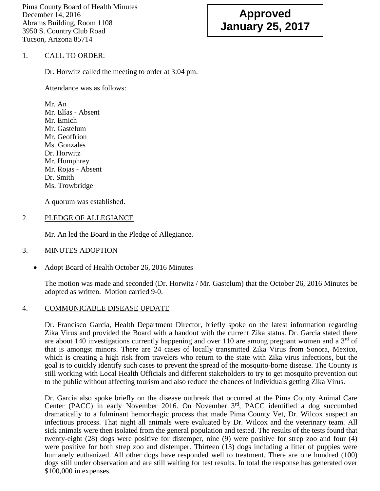Pima County Board of Health Minutes December 14, 2016 Abrams Building, Room 1108 3950 S. Country Club Road Tucson, Arizona 85714

# **Approved January 25, 2017**

# 1. CALL TO ORDER:

Dr. Horwitz called the meeting to order at 3:04 pm.

Attendance was as follows:

Mr. An Mr. Elías - Absent Mr. Emich Mr. Gastelum Mr. Geoffrion Ms. Gonzales Dr. Horwitz Mr. Humphrey Mr. Rojas - Absent Dr. Smith Ms. Trowbridge

A quorum was established.

# 2. PLEDGE OF ALLEGIANCE

Mr. An led the Board in the Pledge of Allegiance.

### 3. MINUTES ADOPTION

• Adopt Board of Health October 26, 2016 Minutes

The motion was made and seconded (Dr. Horwitz / Mr. Gastelum) that the October 26, 2016 Minutes be adopted as written. Motion carried 9-0.

### 4. COMMUNICABLE DISEASE UPDATE

Dr. Francisco García, Health Department Director, briefly spoke on the latest information regarding Zika Virus and provided the Board with a handout with the current Zika status. Dr. Garcia stated there are about 140 investigations currently happening and over 110 are among pregnant women and a  $3<sup>rd</sup>$  of that is amongst minors. There are 24 cases of locally transmitted Zika Virus from Sonora, Mexico, which is creating a high risk from travelers who return to the state with Zika virus infections, but the goal is to quickly identify such cases to prevent the spread of the mosquito-borne disease. The County is still working with Local Health Officials and different stakeholders to try to get mosquito prevention out to the public without affecting tourism and also reduce the chances of individuals getting Zika Virus.

Dr. Garcia also spoke briefly on the disease outbreak that occurred at the Pima County Animal Care Center (PACC) in early November 2016. On November 3rd, PACC identified a dog succumbed dramatically to a fulminant hemorrhagic process that made Pima County Vet, Dr. Wilcox suspect an infectious process. That night all animals were evaluated by Dr. Wilcox and the veterinary team. All sick animals were then isolated from the general population and tested. The results of the tests found that twenty-eight (28) dogs were positive for distemper, nine (9) were positive for strep zoo and four (4) were positive for both strep zoo and distemper. Thirteen (13) dogs including a litter of puppies were humanely euthanized. All other dogs have responded well to treatment. There are one hundred (100) dogs still under observation and are still waiting for test results. In total the response has generated over \$100,000 in expenses.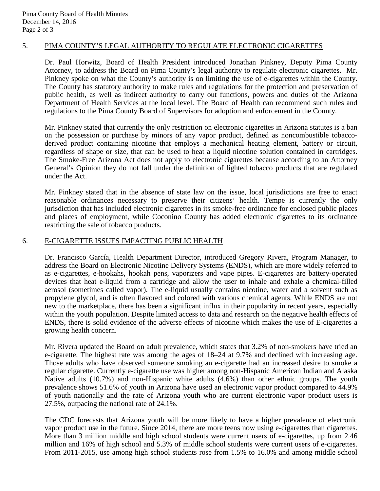# 5. PIMA COUNTY'S LEGAL AUTHORITY TO REGULATE ELECTRONIC CIGARETTES

Dr. Paul Horwitz, Board of Health President introduced Jonathan Pinkney, Deputy Pima County Attorney, to address the Board on Pima County's legal authority to regulate electronic cigarettes. Mr. Pinkney spoke on what the County's authority is on limiting the use of e-cigarettes within the County. The County has statutory authority to make rules and regulations for the protection and preservation of public health, as well as indirect authority to carry out functions, powers and duties of the Arizona Department of Health Services at the local level. The Board of Health can recommend such rules and regulations to the Pima County Board of Supervisors for adoption and enforcement in the County.

Mr. Pinkney stated that currently the only restriction on electronic cigarettes in Arizona statutes is a ban on the possession or purchase by minors of any vapor product, defined as noncombustible tobaccoderived product containing nicotine that employs a mechanical heating element, battery or circuit, regardless of shape or size, that can be used to heat a liquid nicotine solution contained in cartridges. The Smoke-Free Arizona Act does not apply to electronic cigarettes because according to an Attorney General's Opinion they do not fall under the definition of lighted tobacco products that are regulated under the Act.

Mr. Pinkney stated that in the absence of state law on the issue, local jurisdictions are free to enact reasonable ordinances necessary to preserve their citizens' health. Tempe is currently the only jurisdiction that has included electronic cigarettes in its smoke-free ordinance for enclosed public places and places of employment, while Coconino County has added electronic cigarettes to its ordinance restricting the sale of tobacco products.

### 6. E-CIGARETTE ISSUES IMPACTING PUBLIC HEALTH

Dr. Francisco García, Health Department Director, introduced Gregory Rivera, Program Manager, to address the Board on Electronic Nicotine Delivery Systems (ENDS), which are more widely referred to as e-cigarettes, e-hookahs, hookah pens, vaporizers and vape pipes. E-cigarettes are battery-operated devices that heat e-liquid from a cartridge and allow the user to inhale and exhale a chemical-filled aerosol (sometimes called vapor). The e-liquid usually contains nicotine, water and a solvent such as propylene glycol, and is often flavored and colored with various chemical agents. While ENDS are not new to the marketplace, there has been a significant influx in their popularity in recent years, especially within the youth population. Despite limited access to data and research on the negative health effects of ENDS, there is solid evidence of the adverse effects of nicotine which makes the use of E-cigarettes a growing health concern.

Mr. Rivera updated the Board on adult prevalence, which states that 3.2% of non-smokers have tried an e-cigarette. The highest rate was among the ages of 18–24 at 9.7% and declined with increasing age. Those adults who have observed someone smoking an e-cigarette had an increased desire to smoke a regular cigarette. Currently e-cigarette use was higher among non-Hispanic American Indian and Alaska Native adults (10.7%) and non-Hispanic white adults (4.6%) than other ethnic groups. The youth prevalence shows 51.6% of youth in Arizona have used an electronic vapor product compared to 44.9% of youth nationally and the rate of Arizona youth who are current electronic vapor product users is 27.5%, outpacing the national rate of 24.1%.

The CDC forecasts that Arizona youth will be more likely to have a higher prevalence of electronic vapor product use in the future. Since 2014, there are more teens now using e-cigarettes than cigarettes. More than 3 million middle and high school students were current users of e-cigarettes, up from 2.46 million and 16% of high school and 5.3% of middle school students were current users of e-cigarettes. From 2011-2015, use among high school students rose from 1.5% to 16.0% and among middle school